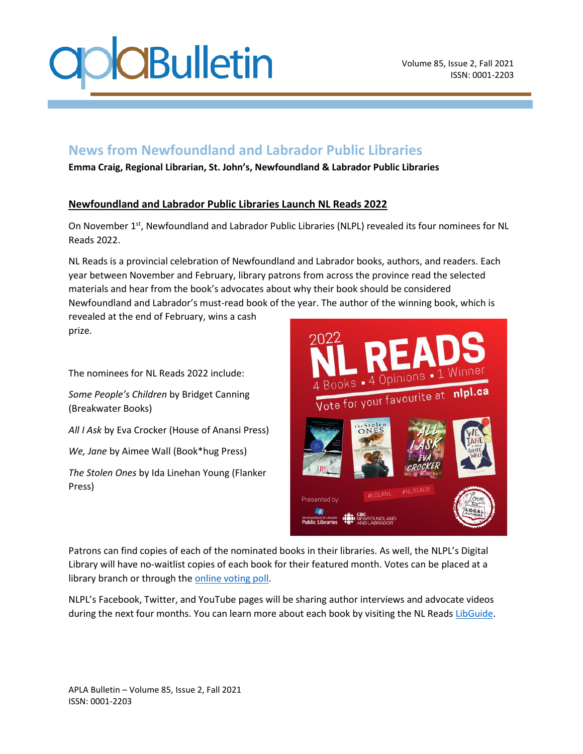

## **News from Newfoundland and Labrador Public Libraries**

**Emma Craig, Regional Librarian, St. John's, Newfoundland & Labrador Public Libraries**

## **Newfoundland and Labrador Public Libraries Launch NL Reads 2022**

On November 1<sup>st</sup>, Newfoundland and Labrador Public Libraries (NLPL) revealed its four nominees for NL Reads 2022.

NL Reads is a provincial celebration of Newfoundland and Labrador books, authors, and readers. Each year between November and February, library patrons from across the province read the selected materials and hear from the book's advocates about why their book should be considered Newfoundland and Labrador's must-read book of the year. The author of the winning book, which is

revealed at the end of February, wins a cash prize.

The nominees for NL Reads 2022 include:

*Some People's Children* by Bridget Canning (Breakwater Books)

*All I Ask* by Eva Crocker (House of Anansi Press)

*We, Jane* by Aimee Wall (Book\*hug Press)

*The Stolen Ones* by Ida Linehan Young (Flanker Press)



Patrons can find copies of each of the nominated books in their libraries. As well, the NLPL's Digital Library will have no-waitlist copies of each book for their featured month. Votes can be placed at a library branch or through th[e online voting poll.](https://www.surveymonkey.com/r/6PZB3FZ)

NLPL's Facebook, Twitter, and YouTube pages will be sharing author interviews and advocate videos during the next four months. You can learn more about each book by visiting the NL Read[s LibGuide.](https://guides.nlpl.ca/nlreads)